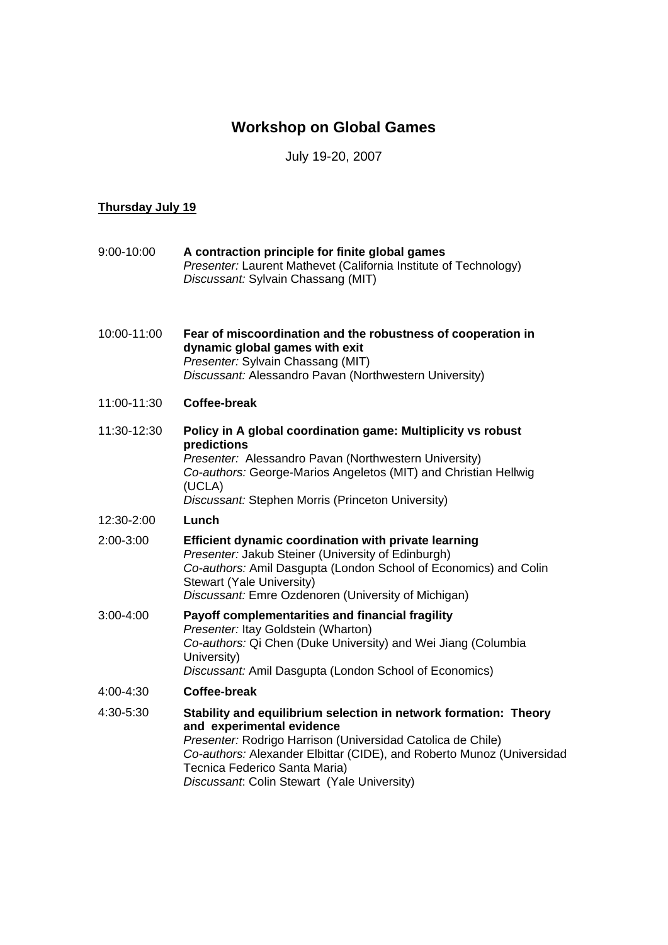## **Workshop on Global Games**

## July 19-20, 2007

## **Thursday July 19**

| 9:00-10:00  | A contraction principle for finite global games<br>Presenter: Laurent Mathevet (California Institute of Technology)<br>Discussant: Sylvain Chassang (MIT)                                                                                                                                                             |
|-------------|-----------------------------------------------------------------------------------------------------------------------------------------------------------------------------------------------------------------------------------------------------------------------------------------------------------------------|
| 10:00-11:00 | Fear of miscoordination and the robustness of cooperation in<br>dynamic global games with exit<br>Presenter: Sylvain Chassang (MIT)<br>Discussant: Alessandro Pavan (Northwestern University)                                                                                                                         |
| 11:00-11:30 | <b>Coffee-break</b>                                                                                                                                                                                                                                                                                                   |
| 11:30-12:30 | Policy in A global coordination game: Multiplicity vs robust<br>predictions<br>Presenter: Alessandro Pavan (Northwestern University)<br>Co-authors: George-Marios Angeletos (MIT) and Christian Hellwig<br>(UCLA)<br>Discussant: Stephen Morris (Princeton University)                                                |
| 12:30-2:00  | Lunch                                                                                                                                                                                                                                                                                                                 |
| 2:00-3:00   | <b>Efficient dynamic coordination with private learning</b><br>Presenter: Jakub Steiner (University of Edinburgh)<br>Co-authors: Amil Dasgupta (London School of Economics) and Colin<br>Stewart (Yale University)<br>Discussant: Emre Ozdenoren (University of Michigan)                                             |
| 3:00-4:00   | Payoff complementarities and financial fragility<br>Presenter: Itay Goldstein (Wharton)<br>Co-authors: Qi Chen (Duke University) and Wei Jiang (Columbia<br>University)<br>Discussant: Amil Dasgupta (London School of Economics)                                                                                     |
| 4:00-4:30   | <b>Coffee-break</b>                                                                                                                                                                                                                                                                                                   |
| 4:30-5:30   | Stability and equilibrium selection in network formation: Theory<br>and experimental evidence<br>Presenter: Rodrigo Harrison (Universidad Catolica de Chile)<br>Co-authors: Alexander Elbittar (CIDE), and Roberto Munoz (Universidad<br>Tecnica Federico Santa Maria)<br>Discussant: Colin Stewart (Yale University) |
|             |                                                                                                                                                                                                                                                                                                                       |